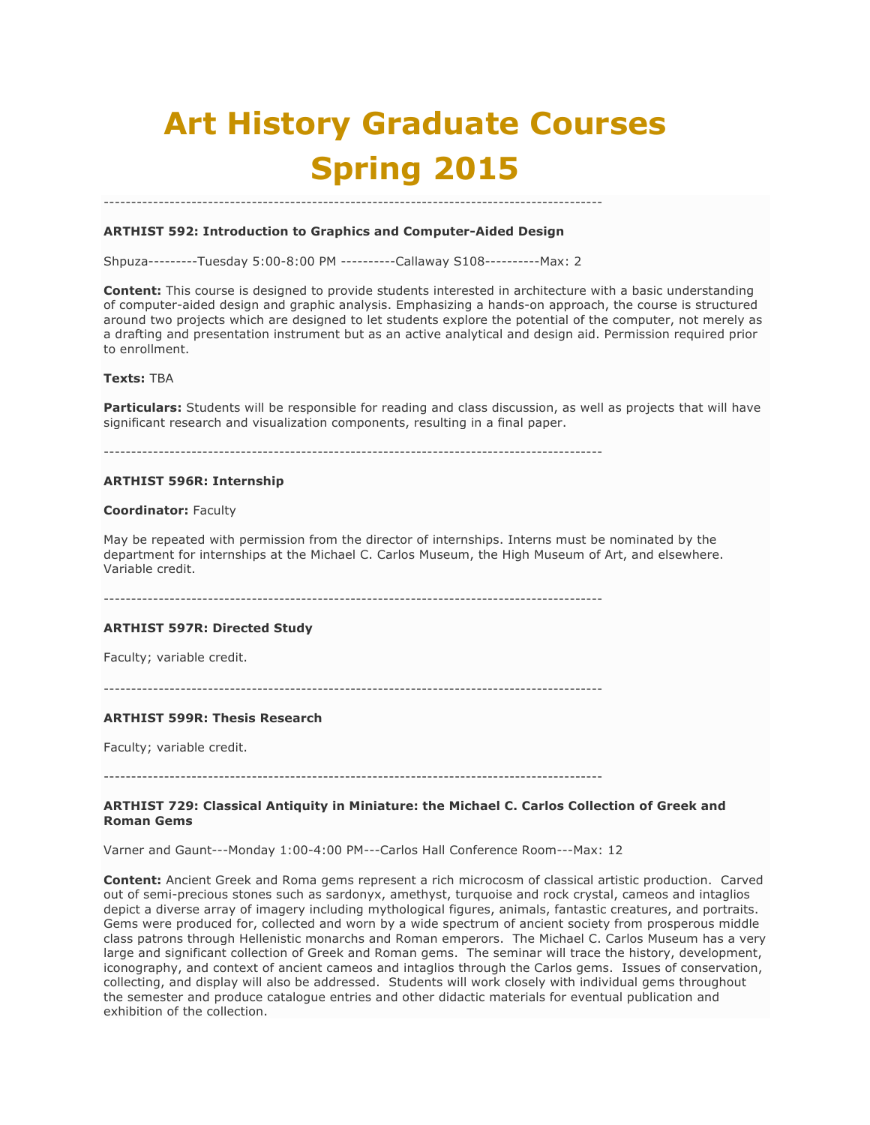# **Art History Graduate Courses Spring 2015**

## **ARTHIST 592: Introduction to Graphics and Computer-Aided Design**

Shpuza---------Tuesday 5:00-8:00 PM ----------Callaway S108----------Max: 2

-------------------------------------------------------------------------------------------

**Content:** This course is designed to provide students interested in architecture with a basic understanding of computer-aided design and graphic analysis. Emphasizing a hands-on approach, the course is structured around two projects which are designed to let students explore the potential of the computer, not merely as a drafting and presentation instrument but as an active analytical and design aid. Permission required prior to enrollment.

#### **Texts:** TBA

**Particulars:** Students will be responsible for reading and class discussion, as well as projects that will have significant research and visualization components, resulting in a final paper.

-------------------------------------------------------------------------------------------

#### **ARTHIST 596R: Internship**

## **Coordinator:** Faculty

May be repeated with permission from the director of internships. Interns must be nominated by the department for internships at the Michael C. Carlos Museum, the High Museum of Art, and elsewhere. Variable credit.

-------------------------------------------------------------------------------------------

#### **ARTHIST 597R: Directed Study**

Faculty; variable credit.

-------------------------------------------------------------------------------------------

## **ARTHIST 599R: Thesis Research**

Faculty; variable credit.

-------------------------------------------------------------------------------------------

## **ARTHIST 729: Classical Antiquity in Miniature: the Michael C. Carlos Collection of Greek and Roman Gems**

Varner and Gaunt---Monday 1:00-4:00 PM---Carlos Hall Conference Room---Max: 12

**Content:** Ancient Greek and Roma gems represent a rich microcosm of classical artistic production. Carved out of semi-precious stones such as sardonyx, amethyst, turquoise and rock crystal, cameos and intaglios depict a diverse array of imagery including mythological figures, animals, fantastic creatures, and portraits. Gems were produced for, collected and worn by a wide spectrum of ancient society from prosperous middle class patrons through Hellenistic monarchs and Roman emperors. The Michael C. Carlos Museum has a very large and significant collection of Greek and Roman gems. The seminar will trace the history, development, iconography, and context of ancient cameos and intaglios through the Carlos gems. Issues of conservation, collecting, and display will also be addressed. Students will work closely with individual gems throughout the semester and produce catalogue entries and other didactic materials for eventual publication and exhibition of the collection.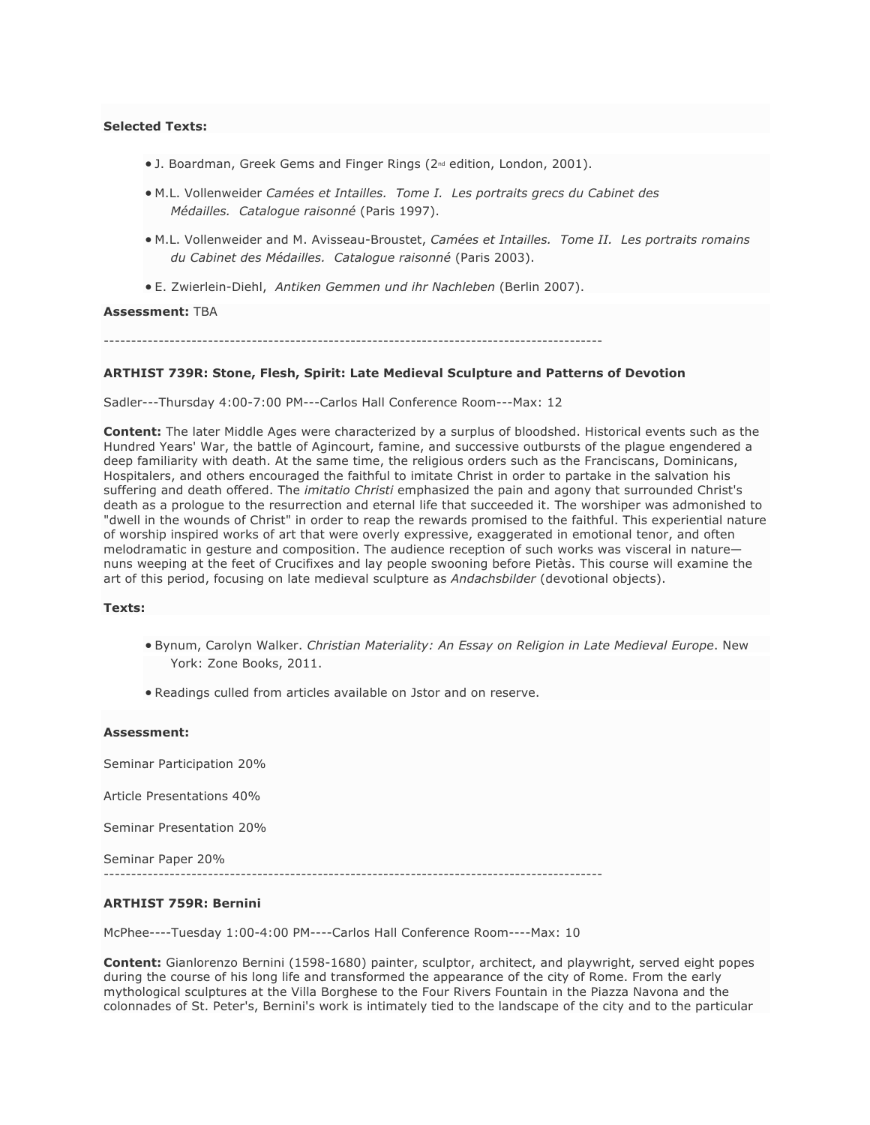## **Selected Texts:**

- J. Boardman, Greek Gems and Finger Rings (2<sup>nd</sup> edition, London, 2001).
- M.L. Vollenweider *Camées et Intailles. Tome I. Les portraits grecs du Cabinet des Médailles. Catalogue raisonné* (Paris 1997).
- M.L. Vollenweider and M. Avisseau-Broustet, *Camées et Intailles. Tome II. Les portraits romains du Cabinet des Médailles. Catalogue raisonné* (Paris 2003).
- E. Zwierlein-Diehl, *Antiken Gemmen und ihr Nachleben* (Berlin 2007).

#### **Assessment:** TBA

-------------------------------------------------------------------------------------------

## **ARTHIST 739R: Stone, Flesh, Spirit: Late Medieval Sculpture and Patterns of Devotion**

Sadler---Thursday 4:00-7:00 PM---Carlos Hall Conference Room---Max: 12

**Content:** The later Middle Ages were characterized by a surplus of bloodshed. Historical events such as the Hundred Years' War, the battle of Agincourt, famine, and successive outbursts of the plague engendered a deep familiarity with death. At the same time, the religious orders such as the Franciscans, Dominicans, Hospitalers, and others encouraged the faithful to imitate Christ in order to partake in the salvation his suffering and death offered. The *imitatio Christi* emphasized the pain and agony that surrounded Christ's death as a prologue to the resurrection and eternal life that succeeded it. The worshiper was admonished to "dwell in the wounds of Christ" in order to reap the rewards promised to the faithful. This experiential nature of worship inspired works of art that were overly expressive, exaggerated in emotional tenor, and often melodramatic in gesture and composition. The audience reception of such works was visceral in nature nuns weeping at the feet of Crucifixes and lay people swooning before Pietàs. This course will examine the art of this period, focusing on late medieval sculpture as *Andachsbilder* (devotional objects).

#### **Texts:**

- Bynum, Carolyn Walker. *Christian Materiality: An Essay on Religion in Late Medieval Europe*. New York: Zone Books, 2011.
- Readings culled from articles available on Jstor and on reserve.

#### **Assessment:**

Seminar Participation 20%

Article Presentations 40%

Seminar Presentation 20%

Seminar Paper 20%

-------------------------------------------------------------------------------------------

#### **ARTHIST 759R: Bernini**

McPhee----Tuesday 1:00-4:00 PM----Carlos Hall Conference Room----Max: 10

**Content:** Gianlorenzo Bernini (1598-1680) painter, sculptor, architect, and playwright, served eight popes during the course of his long life and transformed the appearance of the city of Rome. From the early mythological sculptures at the Villa Borghese to the Four Rivers Fountain in the Piazza Navona and the colonnades of St. Peter's, Bernini's work is intimately tied to the landscape of the city and to the particular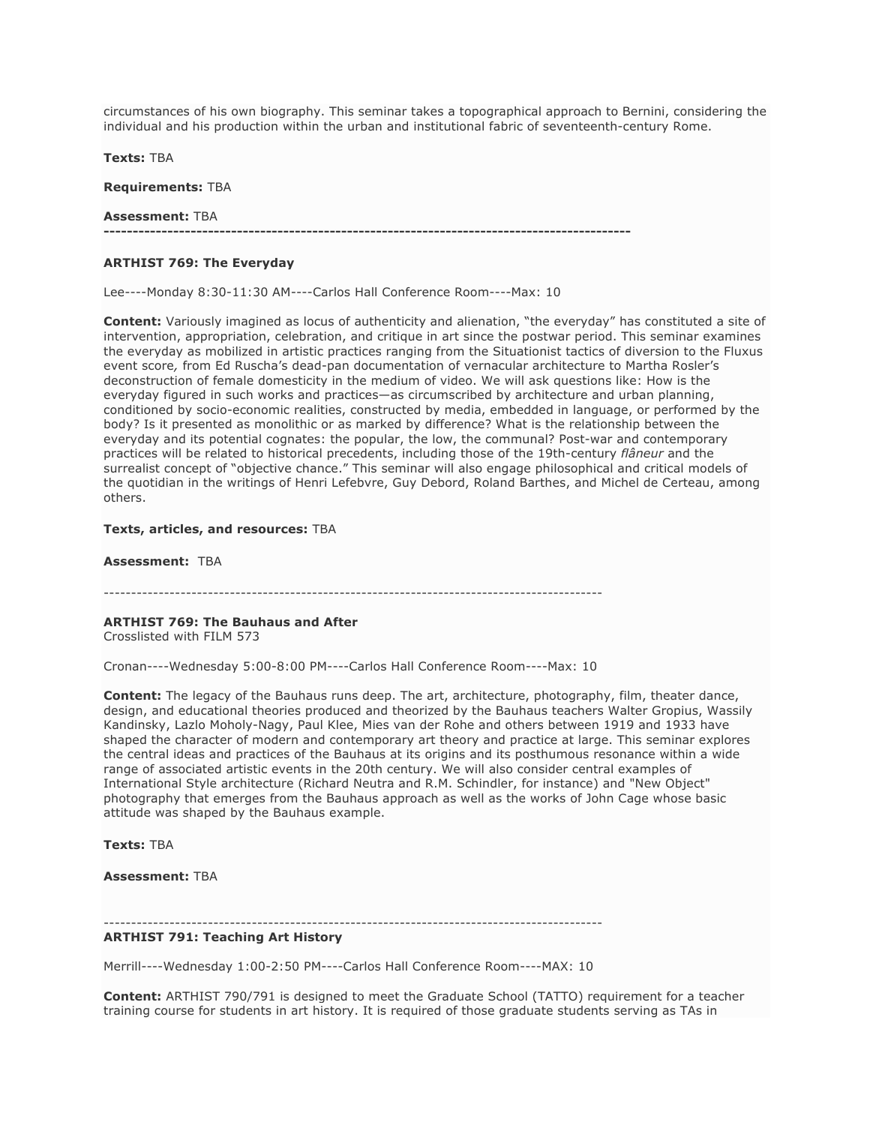circumstances of his own biography. This seminar takes a topographical approach to Bernini, considering the individual and his production within the urban and institutional fabric of seventeenth-century Rome.

**Texts:** TBA

**Requirements:** TBA

#### **Assessment:** TBA

**-------------------------------------------------------------------------------------------**

## **ARTHIST 769: The Everyday**

Lee----Monday 8:30-11:30 AM----Carlos Hall Conference Room----Max: 10

**Content:** Variously imagined as locus of authenticity and alienation, "the everyday" has constituted a site of intervention, appropriation, celebration, and critique in art since the postwar period. This seminar examines the everyday as mobilized in artistic practices ranging from the Situationist tactics of diversion to the Fluxus event score*,* from Ed Ruscha's dead-pan documentation of vernacular architecture to Martha Rosler's deconstruction of female domesticity in the medium of video. We will ask questions like: How is the everyday figured in such works and practices—as circumscribed by architecture and urban planning, conditioned by socio-economic realities, constructed by media, embedded in language, or performed by the body? Is it presented as monolithic or as marked by difference? What is the relationship between the everyday and its potential cognates: the popular, the low, the communal? Post-war and contemporary practices will be related to historical precedents, including those of the 19th-century *flâneur* and the surrealist concept of "objective chance." This seminar will also engage philosophical and critical models of the quotidian in the writings of Henri Lefebvre, Guy Debord, Roland Barthes, and Michel de Certeau, among others.

#### **Texts, articles, and resources:** TBA

**Assessment:** TBA

-------------------------------------------------------------------------------------------

## **ARTHIST 769: The Bauhaus and After**

Crosslisted with FILM 573

Cronan----Wednesday 5:00-8:00 PM----Carlos Hall Conference Room----Max: 10

**Content:** The legacy of the Bauhaus runs deep. The art, architecture, photography, film, theater dance, design, and educational theories produced and theorized by the Bauhaus teachers Walter Gropius, Wassily Kandinsky, Lazlo Moholy-Nagy, Paul Klee, Mies van der Rohe and others between 1919 and 1933 have shaped the character of modern and contemporary art theory and practice at large. This seminar explores the central ideas and practices of the Bauhaus at its origins and its posthumous resonance within a wide range of associated artistic events in the 20th century. We will also consider central examples of International Style architecture (Richard Neutra and R.M. Schindler, for instance) and "New Object" photography that emerges from the Bauhaus approach as well as the works of John Cage whose basic attitude was shaped by the Bauhaus example.

**Texts:** TBA

**Assessment:** TBA

-------------------------------------------------------------------------------------------

## **ARTHIST 791: Teaching Art History**

Merrill----Wednesday 1:00-2:50 PM----Carlos Hall Conference Room----MAX: 10

**Content:** ARTHIST 790/791 is designed to meet the Graduate School (TATTO) requirement for a teacher training course for students in art history. It is required of those graduate students serving as TAs in